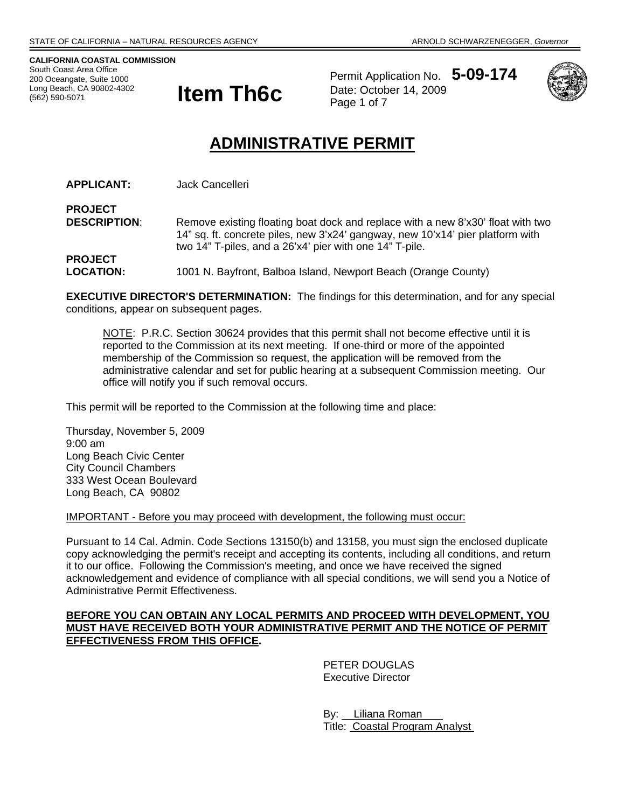**CALIFORNIA COASTAL COMMISSION**  South Coast Area Office 200 Oceangate, Suite 1000 (562) 590-5071



Permit Application No. **5-09-174** Date: October 14, 2009 Page 1 of 7



# **ADMINISTRATIVE PERMIT**

**APPLICANT:** Jack Cancelleri

**PROJECT DESCRIPTION:** Remove existing floating boat dock and replace with a new 8'x30' float with two 14" sq. ft. concrete piles, new 3'x24' gangway, new 10'x14' pier platform with two 14" T-piles, and a 26'x4' pier with one 14" T-pile. **PROJECT LOCATION:** 1001 N. Bayfront, Balboa Island, Newport Beach (Orange County)

**EXECUTIVE DIRECTOR'S DETERMINATION:** The findings for this determination, and for any special conditions, appear on subsequent pages.

NOTE: P.R.C. Section 30624 provides that this permit shall not become effective until it is reported to the Commission at its next meeting. If one-third or more of the appointed membership of the Commission so request, the application will be removed from the administrative calendar and set for public hearing at a subsequent Commission meeting. Our office will notify you if such removal occurs.

This permit will be reported to the Commission at the following time and place:

Thursday, November 5, 2009 9:00 am Long Beach Civic Center City Council Chambers 333 West Ocean Boulevard Long Beach, CA 90802

IMPORTANT - Before you may proceed with development, the following must occur:

Pursuant to 14 Cal. Admin. Code Sections 13150(b) and 13158, you must sign the enclosed duplicate copy acknowledging the permit's receipt and accepting its contents, including all conditions, and return it to our office. Following the Commission's meeting, and once we have received the signed acknowledgement and evidence of compliance with all special conditions, we will send you a Notice of Administrative Permit Effectiveness.

#### **BEFORE YOU CAN OBTAIN ANY LOCAL PERMITS AND PROCEED WITH DEVELOPMENT, YOU MUST HAVE RECEIVED BOTH YOUR ADMINISTRATIVE PERMIT AND THE NOTICE OF PERMIT EFFECTIVENESS FROM THIS OFFICE.**

 PETER DOUGLAS Executive Director

 By: Liliana Roman Title: Coastal Program Analyst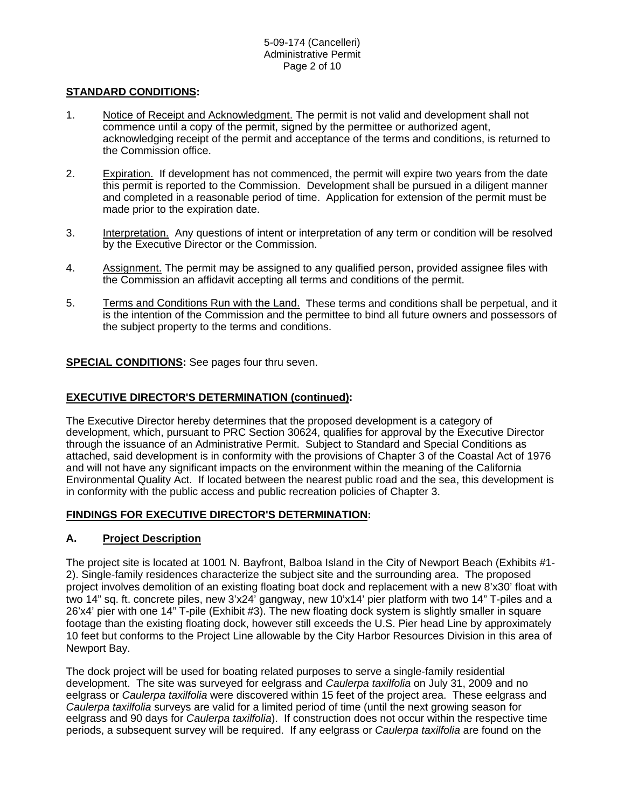#### **STANDARD CONDITIONS:**

- 1. Notice of Receipt and Acknowledgment. The permit is not valid and development shall not commence until a copy of the permit, signed by the permittee or authorized agent, acknowledging receipt of the permit and acceptance of the terms and conditions, is returned to the Commission office.
- 2. Expiration. If development has not commenced, the permit will expire two years from the date this permit is reported to the Commission. Development shall be pursued in a diligent manner and completed in a reasonable period of time. Application for extension of the permit must be made prior to the expiration date.
- 3. Interpretation. Any questions of intent or interpretation of any term or condition will be resolved by the Executive Director or the Commission.
- 4. Assignment. The permit may be assigned to any qualified person, provided assignee files with the Commission an affidavit accepting all terms and conditions of the permit.
- 5. Terms and Conditions Run with the Land. These terms and conditions shall be perpetual, and it is the intention of the Commission and the permittee to bind all future owners and possessors of the subject property to the terms and conditions.

#### **SPECIAL CONDITIONS:** See pages four thru seven.

#### **EXECUTIVE DIRECTOR'S DETERMINATION (continued):**

The Executive Director hereby determines that the proposed development is a category of development, which, pursuant to PRC Section 30624, qualifies for approval by the Executive Director through the issuance of an Administrative Permit. Subject to Standard and Special Conditions as attached, said development is in conformity with the provisions of Chapter 3 of the Coastal Act of 1976 and will not have any significant impacts on the environment within the meaning of the California Environmental Quality Act. If located between the nearest public road and the sea, this development is in conformity with the public access and public recreation policies of Chapter 3.

#### **FINDINGS FOR EXECUTIVE DIRECTOR'S DETERMINATION:**

# **A. Project Description**

The project site is located at 1001 N. Bayfront, Balboa Island in the City of Newport Beach (Exhibits #1- 2). Single-family residences characterize the subject site and the surrounding area. The proposed project involves demolition of an existing floating boat dock and replacement with a new 8'x30' float with two 14" sq. ft. concrete piles, new 3'x24' gangway, new 10'x14' pier platform with two 14" T-piles and a 26'x4' pier with one 14" T-pile (Exhibit #3). The new floating dock system is slightly smaller in square footage than the existing floating dock, however still exceeds the U.S. Pier head Line by approximately 10 feet but conforms to the Project Line allowable by the City Harbor Resources Division in this area of Newport Bay.

The dock project will be used for boating related purposes to serve a single-family residential development. The site was surveyed for eelgrass and *Caulerpa taxilfolia* on July 31, 2009 and no eelgrass or *Caulerpa taxilfolia* were discovered within 15 feet of the project area. These eelgrass and *Caulerpa taxilfolia* surveys are valid for a limited period of time (until the next growing season for eelgrass and 90 days for *Caulerpa taxilfolia*). If construction does not occur within the respective time periods, a subsequent survey will be required. If any eelgrass or *Caulerpa taxilfolia* are found on the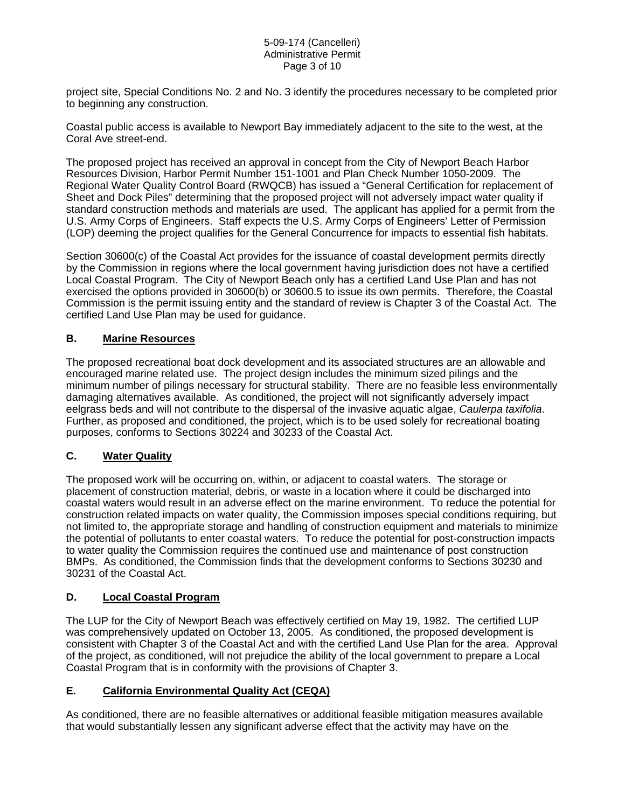#### 5-09-174 (Cancelleri) Administrative Permit Page 3 of 10

project site, Special Conditions No. 2 and No. 3 identify the procedures necessary to be completed prior to beginning any construction.

Coastal public access is available to Newport Bay immediately adjacent to the site to the west, at the Coral Ave street-end.

The proposed project has received an approval in concept from the City of Newport Beach Harbor Resources Division, Harbor Permit Number 151-1001 and Plan Check Number 1050-2009. The Regional Water Quality Control Board (RWQCB) has issued a "General Certification for replacement of Sheet and Dock Piles" determining that the proposed project will not adversely impact water quality if standard construction methods and materials are used. The applicant has applied for a permit from the U.S. Army Corps of Engineers. Staff expects the U.S. Army Corps of Engineers' Letter of Permission (LOP) deeming the project qualifies for the General Concurrence for impacts to essential fish habitats.

Section 30600(c) of the Coastal Act provides for the issuance of coastal development permits directly by the Commission in regions where the local government having jurisdiction does not have a certified Local Coastal Program. The City of Newport Beach only has a certified Land Use Plan and has not exercised the options provided in 30600(b) or 30600.5 to issue its own permits. Therefore, the Coastal Commission is the permit issuing entity and the standard of review is Chapter 3 of the Coastal Act. The certified Land Use Plan may be used for guidance.

#### **B. Marine Resources**

The proposed recreational boat dock development and its associated structures are an allowable and encouraged marine related use. The project design includes the minimum sized pilings and the minimum number of pilings necessary for structural stability. There are no feasible less environmentally damaging alternatives available. As conditioned, the project will not significantly adversely impact eelgrass beds and will not contribute to the dispersal of the invasive aquatic algae, *Caulerpa taxifolia*. Further, as proposed and conditioned, the project, which is to be used solely for recreational boating purposes, conforms to Sections 30224 and 30233 of the Coastal Act.

# **C. Water Quality**

The proposed work will be occurring on, within, or adjacent to coastal waters. The storage or placement of construction material, debris, or waste in a location where it could be discharged into coastal waters would result in an adverse effect on the marine environment. To reduce the potential for construction related impacts on water quality, the Commission imposes special conditions requiring, but not limited to, the appropriate storage and handling of construction equipment and materials to minimize the potential of pollutants to enter coastal waters. To reduce the potential for post-construction impacts to water quality the Commission requires the continued use and maintenance of post construction BMPs. As conditioned, the Commission finds that the development conforms to Sections 30230 and 30231 of the Coastal Act.

# **D. Local Coastal Program**

The LUP for the City of Newport Beach was effectively certified on May 19, 1982. The certified LUP was comprehensively updated on October 13, 2005. As conditioned, the proposed development is consistent with Chapter 3 of the Coastal Act and with the certified Land Use Plan for the area. Approval of the project, as conditioned, will not prejudice the ability of the local government to prepare a Local Coastal Program that is in conformity with the provisions of Chapter 3.

#### **E. California Environmental Quality Act (CEQA)**

As conditioned, there are no feasible alternatives or additional feasible mitigation measures available that would substantially lessen any significant adverse effect that the activity may have on the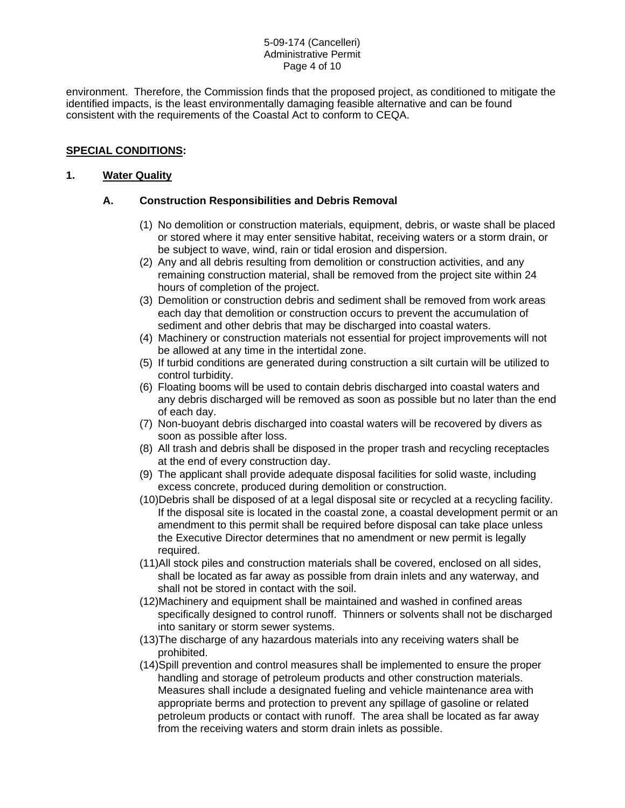#### 5-09-174 (Cancelleri) Administrative Permit Page 4 of 10

environment. Therefore, the Commission finds that the proposed project, as conditioned to mitigate the identified impacts, is the least environmentally damaging feasible alternative and can be found consistent with the requirements of the Coastal Act to conform to CEQA.

# **SPECIAL CONDITIONS:**

### **1. Water Quality**

### **A. Construction Responsibilities and Debris Removal**

- (1) No demolition or construction materials, equipment, debris, or waste shall be placed or stored where it may enter sensitive habitat, receiving waters or a storm drain, or be subject to wave, wind, rain or tidal erosion and dispersion.
- (2) Any and all debris resulting from demolition or construction activities, and any remaining construction material, shall be removed from the project site within 24 hours of completion of the project.
- (3) Demolition or construction debris and sediment shall be removed from work areas each day that demolition or construction occurs to prevent the accumulation of sediment and other debris that may be discharged into coastal waters.
- (4) Machinery or construction materials not essential for project improvements will not be allowed at any time in the intertidal zone.
- (5) If turbid conditions are generated during construction a silt curtain will be utilized to control turbidity.
- (6) Floating booms will be used to contain debris discharged into coastal waters and any debris discharged will be removed as soon as possible but no later than the end of each day.
- (7) Non-buoyant debris discharged into coastal waters will be recovered by divers as soon as possible after loss.
- (8) All trash and debris shall be disposed in the proper trash and recycling receptacles at the end of every construction day.
- (9) The applicant shall provide adequate disposal facilities for solid waste, including excess concrete, produced during demolition or construction.
- (10)Debris shall be disposed of at a legal disposal site or recycled at a recycling facility. If the disposal site is located in the coastal zone, a coastal development permit or an amendment to this permit shall be required before disposal can take place unless the Executive Director determines that no amendment or new permit is legally required.
- (11)All stock piles and construction materials shall be covered, enclosed on all sides, shall be located as far away as possible from drain inlets and any waterway, and shall not be stored in contact with the soil.
- (12)Machinery and equipment shall be maintained and washed in confined areas specifically designed to control runoff. Thinners or solvents shall not be discharged into sanitary or storm sewer systems.
- (13)The discharge of any hazardous materials into any receiving waters shall be prohibited.
- (14)Spill prevention and control measures shall be implemented to ensure the proper handling and storage of petroleum products and other construction materials. Measures shall include a designated fueling and vehicle maintenance area with appropriate berms and protection to prevent any spillage of gasoline or related petroleum products or contact with runoff. The area shall be located as far away from the receiving waters and storm drain inlets as possible.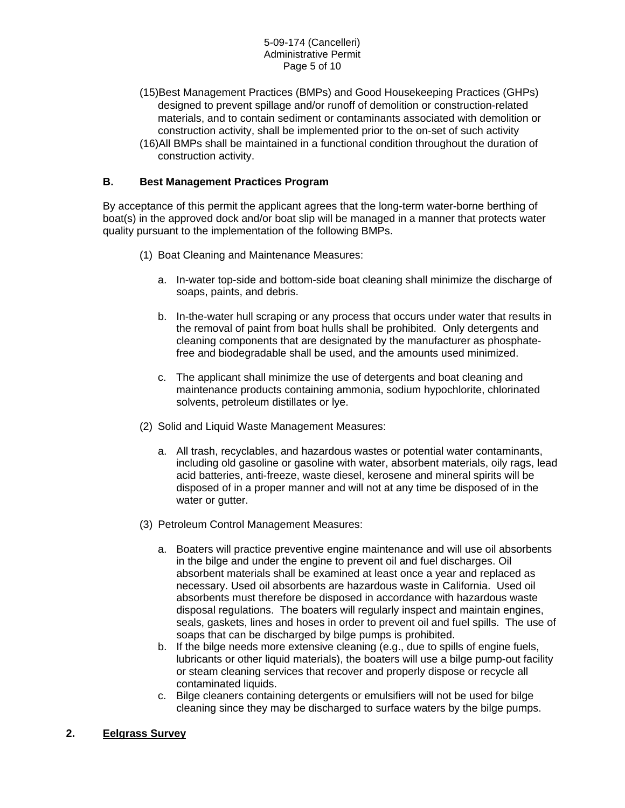- (15)Best Management Practices (BMPs) and Good Housekeeping Practices (GHPs) designed to prevent spillage and/or runoff of demolition or construction-related materials, and to contain sediment or contaminants associated with demolition or construction activity, shall be implemented prior to the on-set of such activity
- (16)All BMPs shall be maintained in a functional condition throughout the duration of construction activity.

### **B. Best Management Practices Program**

By acceptance of this permit the applicant agrees that the long-term water-borne berthing of boat(s) in the approved dock and/or boat slip will be managed in a manner that protects water quality pursuant to the implementation of the following BMPs.

- (1) Boat Cleaning and Maintenance Measures:
	- a. In-water top-side and bottom-side boat cleaning shall minimize the discharge of soaps, paints, and debris.
	- b. In-the-water hull scraping or any process that occurs under water that results in the removal of paint from boat hulls shall be prohibited. Only detergents and cleaning components that are designated by the manufacturer as phosphatefree and biodegradable shall be used, and the amounts used minimized.
	- c. The applicant shall minimize the use of detergents and boat cleaning and maintenance products containing ammonia, sodium hypochlorite, chlorinated solvents, petroleum distillates or lye.
- (2) Solid and Liquid Waste Management Measures:
	- a. All trash, recyclables, and hazardous wastes or potential water contaminants, including old gasoline or gasoline with water, absorbent materials, oily rags, lead acid batteries, anti-freeze, waste diesel, kerosene and mineral spirits will be disposed of in a proper manner and will not at any time be disposed of in the water or gutter.
- (3) Petroleum Control Management Measures:
	- a. Boaters will practice preventive engine maintenance and will use oil absorbents in the bilge and under the engine to prevent oil and fuel discharges. Oil absorbent materials shall be examined at least once a year and replaced as necessary. Used oil absorbents are hazardous waste in California. Used oil absorbents must therefore be disposed in accordance with hazardous waste disposal regulations. The boaters will regularly inspect and maintain engines, seals, gaskets, lines and hoses in order to prevent oil and fuel spills. The use of soaps that can be discharged by bilge pumps is prohibited.
	- b. If the bilge needs more extensive cleaning (e.g., due to spills of engine fuels, lubricants or other liquid materials), the boaters will use a bilge pump-out facility or steam cleaning services that recover and properly dispose or recycle all contaminated liquids.
	- c. Bilge cleaners containing detergents or emulsifiers will not be used for bilge cleaning since they may be discharged to surface waters by the bilge pumps.
- **2. Eelgrass Survey**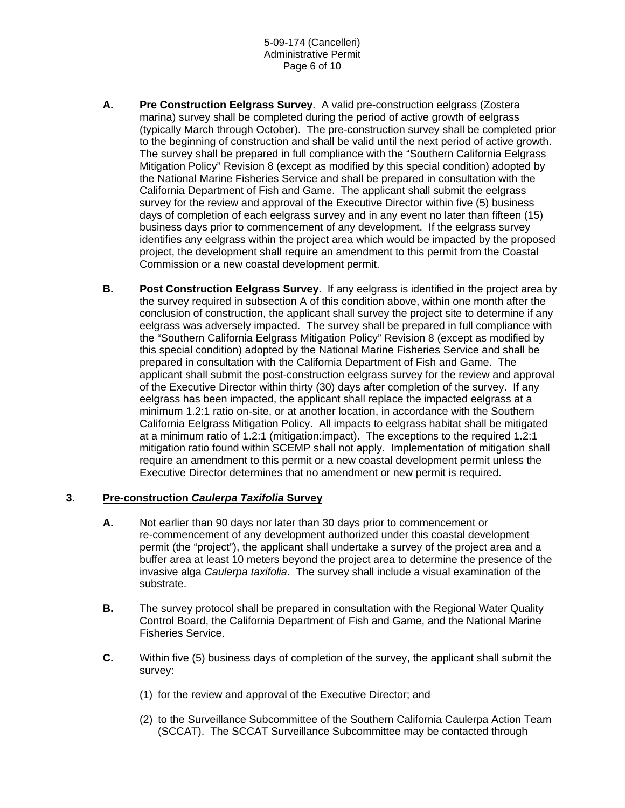- **A. Pre Construction Eelgrass Survey**. A valid pre-construction eelgrass (Zostera marina) survey shall be completed during the period of active growth of eelgrass (typically March through October). The pre-construction survey shall be completed prior to the beginning of construction and shall be valid until the next period of active growth. The survey shall be prepared in full compliance with the "Southern California Eelgrass Mitigation Policy" Revision 8 (except as modified by this special condition) adopted by the National Marine Fisheries Service and shall be prepared in consultation with the California Department of Fish and Game. The applicant shall submit the eelgrass survey for the review and approval of the Executive Director within five (5) business days of completion of each eelgrass survey and in any event no later than fifteen (15) business days prior to commencement of any development. If the eelgrass survey identifies any eelgrass within the project area which would be impacted by the proposed project, the development shall require an amendment to this permit from the Coastal Commission or a new coastal development permit.
- **B. Post Construction Eelgrass Survey**. If any eelgrass is identified in the project area by the survey required in subsection A of this condition above, within one month after the conclusion of construction, the applicant shall survey the project site to determine if any eelgrass was adversely impacted. The survey shall be prepared in full compliance with the "Southern California Eelgrass Mitigation Policy" Revision 8 (except as modified by this special condition) adopted by the National Marine Fisheries Service and shall be prepared in consultation with the California Department of Fish and Game. The applicant shall submit the post-construction eelgrass survey for the review and approval of the Executive Director within thirty (30) days after completion of the survey. If any eelgrass has been impacted, the applicant shall replace the impacted eelgrass at a minimum 1.2:1 ratio on-site, or at another location, in accordance with the Southern California Eelgrass Mitigation Policy. All impacts to eelgrass habitat shall be mitigated at a minimum ratio of 1.2:1 (mitigation:impact). The exceptions to the required 1.2:1 mitigation ratio found within SCEMP shall not apply. Implementation of mitigation shall require an amendment to this permit or a new coastal development permit unless the Executive Director determines that no amendment or new permit is required.

# **3. Pre-construction** *Caulerpa Taxifolia* **Survey**

- **A.** Not earlier than 90 days nor later than 30 days prior to commencement or re-commencement of any development authorized under this coastal development permit (the "project"), the applicant shall undertake a survey of the project area and a buffer area at least 10 meters beyond the project area to determine the presence of the invasive alga *Caulerpa taxifolia*. The survey shall include a visual examination of the substrate.
- **B.** The survey protocol shall be prepared in consultation with the Regional Water Quality Control Board, the California Department of Fish and Game, and the National Marine Fisheries Service.
- **C.** Within five (5) business days of completion of the survey, the applicant shall submit the survey:
	- (1) for the review and approval of the Executive Director; and
	- (2) to the Surveillance Subcommittee of the Southern California Caulerpa Action Team (SCCAT). The SCCAT Surveillance Subcommittee may be contacted through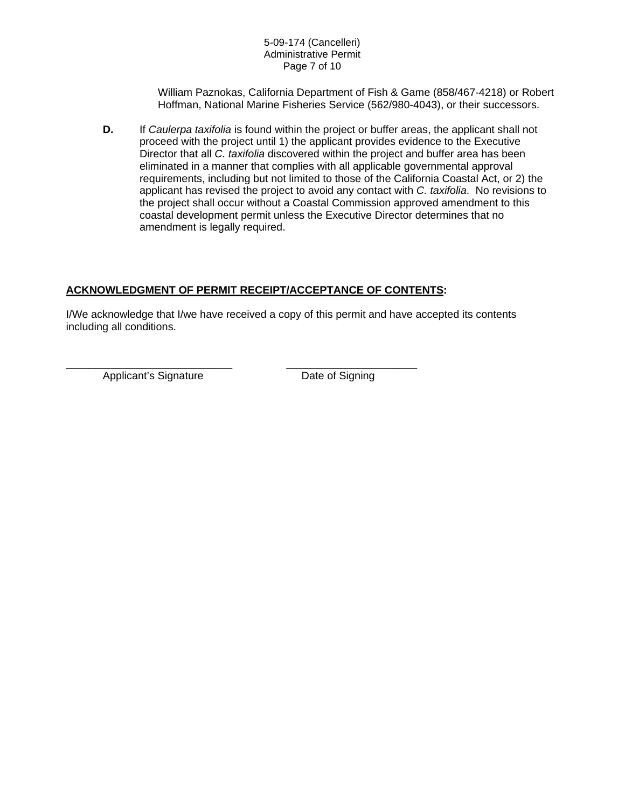William Paznokas, California Department of Fish & Game (858/467-4218) or Robert Hoffman, National Marine Fisheries Service (562/980-4043), or their successors.

**D.** If *Caulerpa taxifolia* is found within the project or buffer areas, the applicant shall not proceed with the project until 1) the applicant provides evidence to the Executive Director that all *C. taxifolia* discovered within the project and buffer area has been eliminated in a manner that complies with all applicable governmental approval requirements, including but not limited to those of the California Coastal Act, or 2) the applicant has revised the project to avoid any contact with *C. taxifolia*. No revisions to the project shall occur without a Coastal Commission approved amendment to this coastal development permit unless the Executive Director determines that no amendment is legally required.

# **ACKNOWLEDGMENT OF PERMIT RECEIPT/ACCEPTANCE OF CONTENTS:**

\_\_\_\_\_\_\_\_\_\_\_\_\_\_\_\_\_\_\_\_\_\_\_\_\_\_\_\_ \_\_\_\_\_\_\_\_\_\_\_\_\_\_\_\_\_\_\_\_\_\_

I/We acknowledge that I/we have received a copy of this permit and have accepted its contents including all conditions.

Applicant's Signature Date of Signing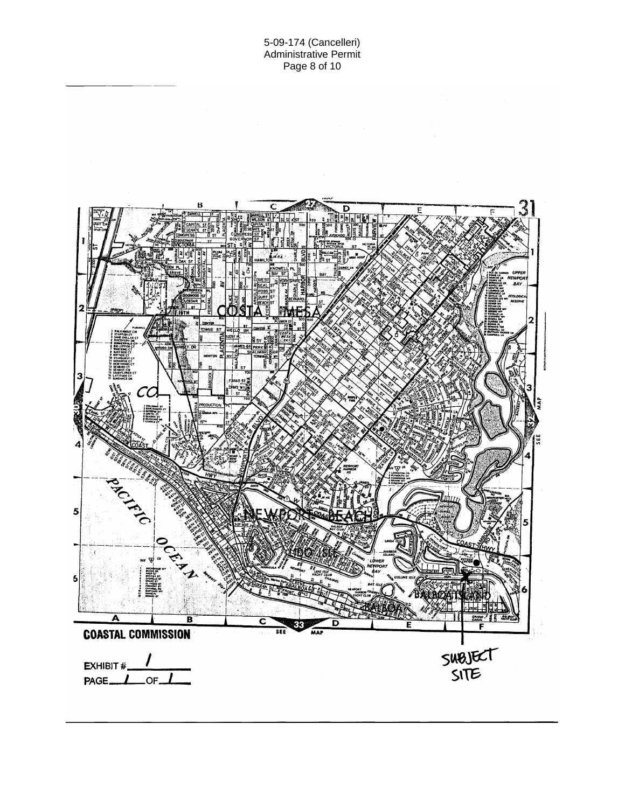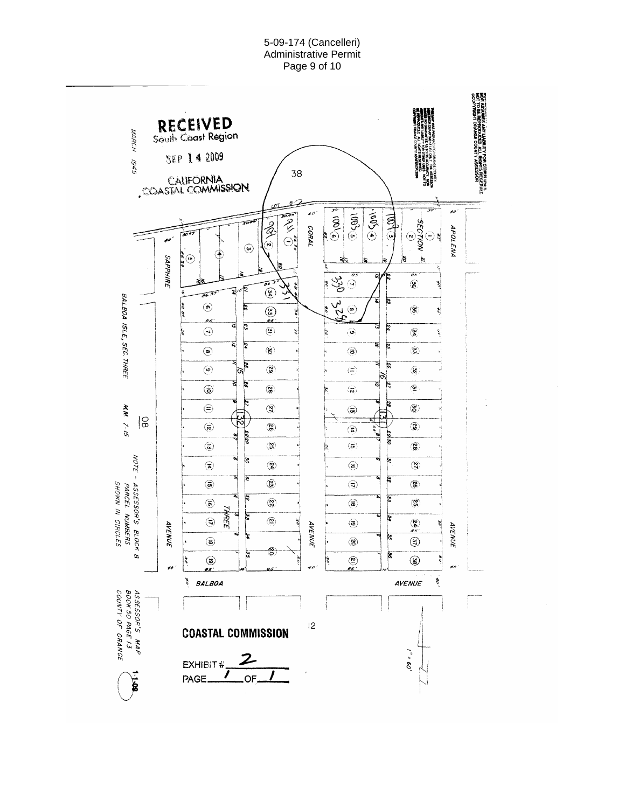5-09-174 (Cancelleri) Administrative Permit Page 9 of 10